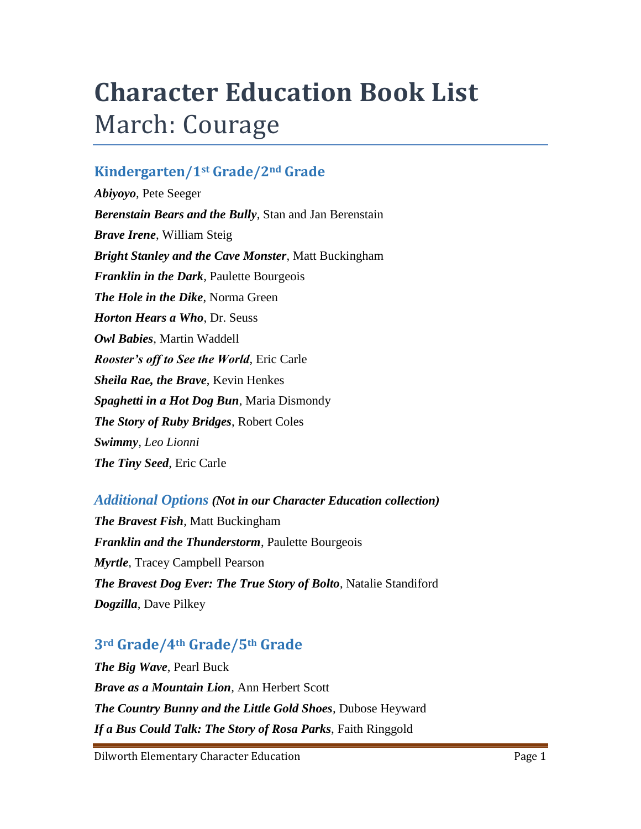## **Character Education Book List** March: Courage

## **Kindergarten/1st Grade/2nd Grade**

*Abiyoyo,* Pete Seeger *Berenstain Bears and the Bully*, Stan and Jan Berenstain *Brave Irene*, William Steig *Bright Stanley and the Cave Monster*, Matt Buckingham *Franklin in the Dark,* Paulette Bourgeois *The Hole in the Dike*, Norma Green *Horton Hears a Who*, Dr. Seuss *Owl Babies*, Martin Waddell *Rooster's off to See the World*, Eric Carle *Sheila Rae, the Brave*, Kevin Henkes *Spaghetti in a Hot Dog Bun*, Maria Dismondy *The Story of Ruby Bridges*, Robert Coles *Swimmy, Leo Lionni The Tiny Seed*, Eric Carle

*Additional Options (Not in our Character Education collection) The Bravest Fish*, Matt Buckingham *Franklin and the Thunderstorm*, Paulette Bourgeois *Myrtle*, Tracey Campbell Pearson *The Bravest Dog Ever: The True Story of Bolto*, Natalie Standiford *Dogzilla*, Dave Pilkey

## **3rd Grade/4th Grade/5th Grade**

*The Big Wave*, Pearl Buck *Brave as a Mountain Lion,* Ann Herbert Scott *The Country Bunny and the Little Gold Shoes,* Dubose Heyward *If a Bus Could Talk: The Story of Rosa Parks*, Faith Ringgold